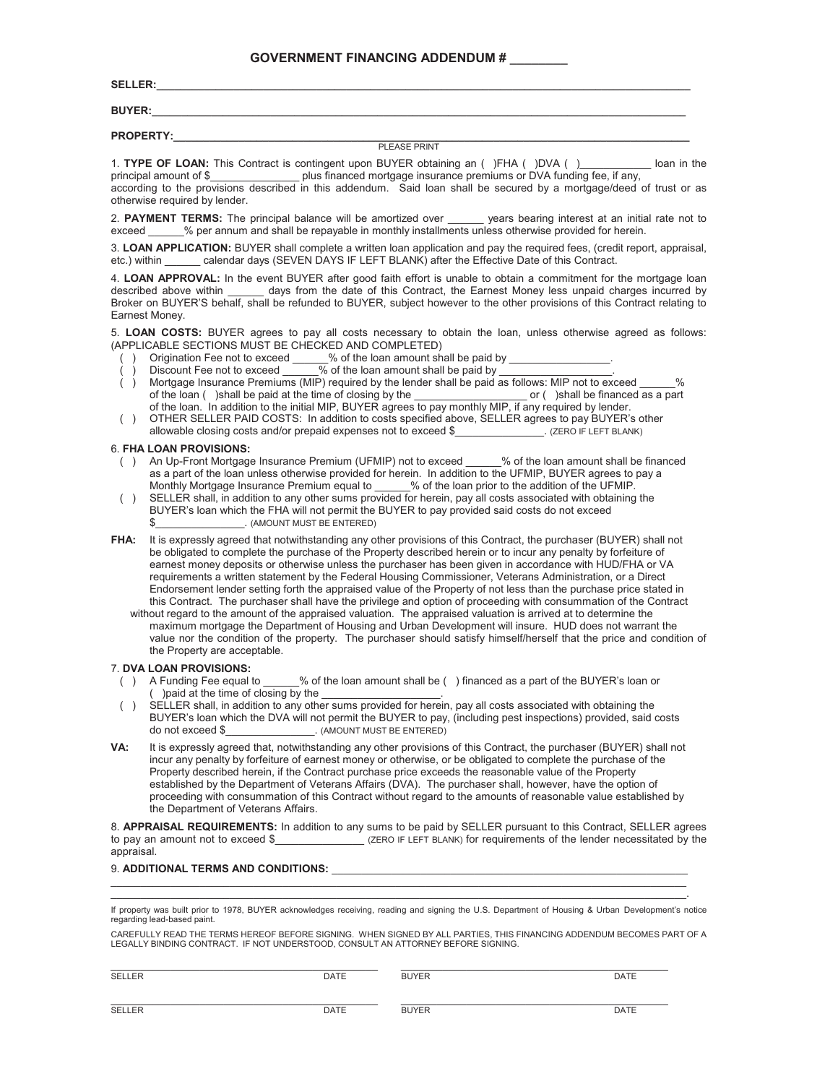### **GOVERNMENT FINANCING ADDENDUM # \_\_\_\_\_\_\_\_**

**SELLER:\_\_\_\_\_\_\_\_\_\_\_\_\_\_\_\_\_\_\_\_\_\_\_\_\_\_\_\_\_\_\_\_\_\_\_\_\_\_\_\_\_\_\_\_\_\_\_\_\_\_\_\_\_\_\_\_\_\_\_\_\_\_\_\_\_\_\_\_\_\_\_\_\_\_\_\_\_\_\_\_\_\_\_\_\_\_\_\_\_\_** 

**BUYER:\_\_\_\_\_\_\_\_\_\_\_\_\_\_\_\_\_\_\_\_\_\_\_\_\_\_\_\_\_\_\_\_\_\_\_\_\_\_\_\_\_\_\_\_\_\_\_\_\_\_\_\_\_\_\_\_\_\_\_\_\_\_\_\_\_\_\_\_\_\_\_\_\_\_\_\_\_\_\_\_\_\_\_\_\_\_\_\_\_\_** 

**PROPERTY:\_\_\_\_\_\_\_\_\_\_\_\_\_\_\_\_\_\_\_\_\_\_\_\_\_\_\_\_\_\_\_\_\_\_\_\_\_\_\_\_\_\_\_\_\_\_\_\_\_\_\_\_\_\_\_\_\_\_\_\_\_\_\_\_\_\_\_\_\_\_\_\_\_\_\_\_\_\_\_\_\_\_\_\_\_\_\_** 

### PLEASE PRINT

1. **TYPE OF LOAN:** This Contract is contingent upon BUYER obtaining an ( )FHA ( )DVA ( )\_\_\_\_\_\_\_\_\_\_\_\_ loan in the principal amount of \$\_\_\_\_\_\_\_\_\_\_\_\_\_\_\_ plus financed mortgage insurance premiums or DVA funding fee, if any, according to the provisions described in this addendum. Said loan shall be secured by a mortgage/deed of trust or as otherwise required by lender.

2. **PAYMENT TERMS:** The principal balance will be amortized over \_\_\_\_\_\_ years bearing interest at an initial rate not to exceed  $\%$  per annum and shall be repayable in monthly installments unless otherwise provided for herein.

3. **LOAN APPLICATION:** BUYER shall complete a written loan application and pay the required fees, (credit report, appraisal, etc.) within \_\_\_\_\_\_ calendar days (SEVEN DAYS IF LEFT BLANK) after the Effective Date of this Contract.

4. **LOAN APPROVAL:** In the event BUYER after good faith effort is unable to obtain a commitment for the mortgage loan described above within days from the date of this Contract, the Earnest Money less unpaid charges incurred by Broker on BUYER'S behalf, shall be refunded to BUYER, subject however to the other provisions of this Contract relating to Earnest Money.

5. **LOAN COSTS:** BUYER agrees to pay all costs necessary to obtain the loan, unless otherwise agreed as follows: (APPLICABLE SECTIONS MUST BE CHECKED AND COMPLETED)<br>() Origination Fee not to exceed \_\_\_\_\_% of the loan amount sh

- CABLE SECTIONS MOST BE CHECKLE AND SOME LETTER, Origination Fee not to exceed \_\_\_\_\_% of the loan amount shall be paid by \_\_\_\_\_\_\_.<br>Discount Fee not to exceed \_\_\_\_\_\_% of the loan amount shall be paid by \_\_\_\_\_\_\_\_\_
- () Discount Fee not to exceed \_\_\_\_\_\_% of the loan amount shall be paid by \_\_\_\_\_\_\_\_\_\_\_\_\_\_\_\_\_\_.
- ( ) Mortgage Insurance Premiums (MIP) required by the lender shall be paid as follows: MIP not to exceed \_\_\_\_\_\_% of the loan ( )shall be paid at the time of closing by the \_\_\_\_\_\_\_\_\_\_\_\_\_\_\_\_\_\_\_ or ( )shall be financed as a part of the loan. In addition to the initial MIP, BUYER agrees to pay monthly MIP, if any required by lender.
- () OTHER SELLER PAID COSTS: In addition to costs specified above, SELLER agrees to pay BUYER's other<br>(ZERO IF LEFT BLANK) . (ZERO IF LEFT BLANK) allowable closing costs and/or prepaid expenses not to exceed \$

### 6. **FHA LOAN PROVISIONS:**

- () An Up-Front Mortgage Insurance Premium (UFMIP) not to exceed \_\_\_\_\_% of the loan amount shall be financed as a part of the loan unless otherwise provided for herein. In addition to the UFMIP, BUYER agrees to pay a Monthly Mortgage Insurance Premium equal to \_\_\_\_\_% of the loan prior to the addition of the UFMIP.
- SELLER shall, in addition to any other sums provided for herein, pay all costs associated with obtaining the BUYER's loan which the FHA will not permit the BUYER to pay provided said costs do not exceed \$\_\_\_\_\_\_\_\_\_\_\_\_\_\_\_. (AMOUNT MUST BE ENTERED)
- **FHA:** It is expressly agreed that notwithstanding any other provisions of this Contract, the purchaser (BUYER) shall not be obligated to complete the purchase of the Property described herein or to incur any penalty by forfeiture of earnest money deposits or otherwise unless the purchaser has been given in accordance with HUD/FHA or VA requirements a written statement by the Federal Housing Commissioner, Veterans Administration, or a Direct Endorsement lender setting forth the appraised value of the Property of not less than the purchase price stated in this Contract. The purchaser shall have the privilege and option of proceeding with consummation of the Contract
	- without regard to the amount of the appraised valuation. The appraised valuation is arrived at to determine the maximum mortgage the Department of Housing and Urban Development will insure. HUD does not warrant the value nor the condition of the property. The purchaser should satisfy himself/herself that the price and condition of the Property are acceptable.

- 7. **DVA LOAN PROVISIONS:**  $%$  of the loan amount shall be ( ) financed as a part of the BUYER's loan or  $($  ) paid at the time of closing by the
- ( ) SELLER shall, in addition to any other sums provided for herein, pay all costs associated with obtaining the BUYER's loan which the DVA will not permit the BUYER to pay, (including pest inspections) provided, said costs<br>do not exceed \$ (AMOUNT MUST BE ENTERED)  $\overline{\phantom{a}}$ . (AMOUNT MUST BE ENTERED)
- **VA:** It is expressly agreed that, notwithstanding any other provisions of this Contract, the purchaser (BUYER) shall not incur any penalty by forfeiture of earnest money or otherwise, or be obligated to complete the purchase of the Property described herein, if the Contract purchase price exceeds the reasonable value of the Property established by the Department of Veterans Affairs (DVA). The purchaser shall, however, have the option of proceeding with consummation of this Contract without regard to the amounts of reasonable value established by the Department of Veterans Affairs.

8. **APPRAISAL REQUIREMENTS:** In addition to any sums to be paid by SELLER pursuant to this Contract, SELLER agrees to pay an amount not to exceed \$\_\_\_\_\_\_\_\_\_\_\_\_\_\_\_ (ZERO IF LEFT BLANK) for requirements of the lender necessitated by the appraisal.

### **9. ADDITIONAL TERMS AND CONDITIONS:**

\_\_\_\_\_\_\_\_\_\_\_\_\_\_\_\_\_\_\_\_\_\_\_\_\_\_\_\_\_\_\_\_\_\_\_\_\_\_\_\_\_\_\_\_\_\_\_\_\_\_\_\_\_\_\_\_\_\_\_\_\_\_\_\_\_\_\_\_\_\_\_\_\_\_\_\_\_\_\_\_\_\_\_\_\_\_\_\_\_\_\_\_\_\_\_\_\_. If property was built prior to 1978, BUYER acknowledges receiving, reading and signing the U.S. Department of Housing & Urban Development's notice regarding lead-based paint.

\_\_\_\_\_\_\_\_\_\_\_\_\_\_\_\_\_\_\_\_\_\_\_\_\_\_\_\_\_\_\_\_\_\_\_\_\_\_\_\_\_\_\_\_\_\_\_\_\_\_\_\_\_\_\_\_\_\_\_\_\_\_\_\_\_\_\_\_\_\_\_\_\_\_\_\_\_\_\_\_\_\_\_\_\_\_\_\_\_\_\_\_\_\_\_\_\_

CAREFULLY READ THE TERMS HEREOF BEFORE SIGNING. WHEN SIGNED BY ALL PARTIES, THIS FINANCING ADDENDUM BECOMES PART OF A LEGALLY BINDING CONTRACT. IF NOT UNDERSTOOD, CONSULT AN ATTORNEY BEFORE SIGNING.

| <b>SEI</b> | --- |  |
|------------|-----|--|
|            |     |  |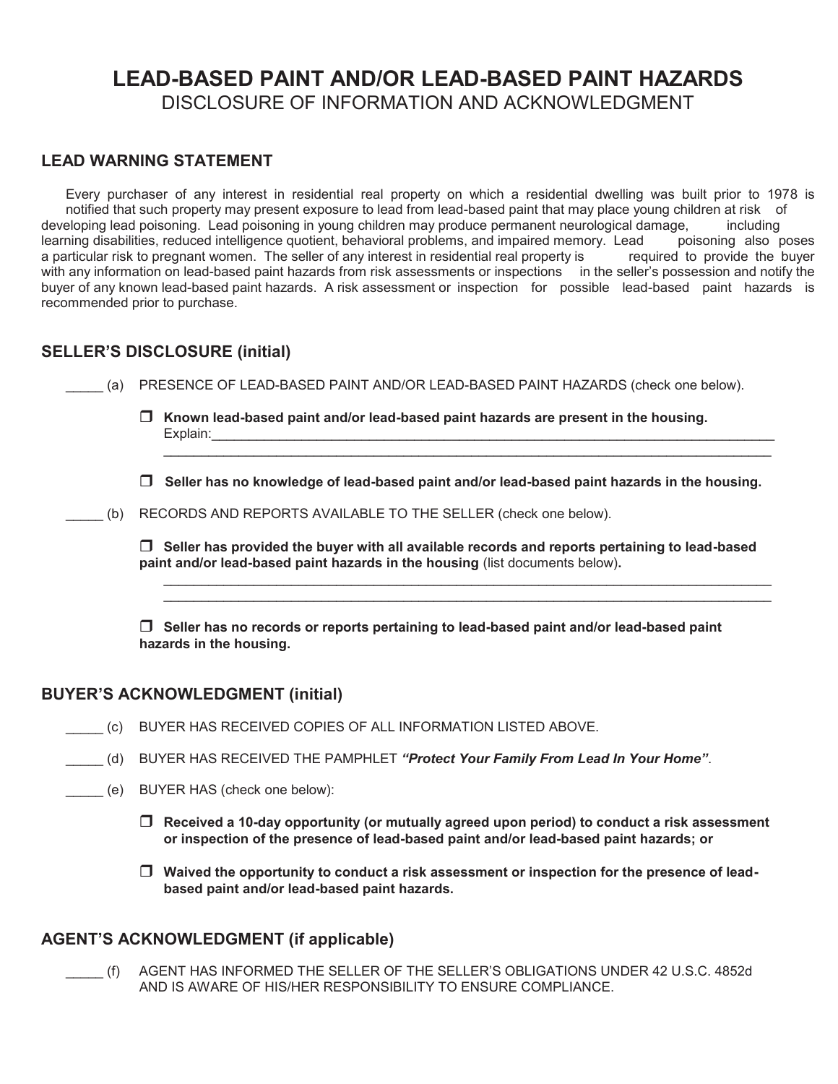# **LEAD-BASED PAINT AND/OR LEAD-BASED PAINT HAZARDS** DISCLOSURE OF INFORMATION AND ACKNOWLEDGMENT

# **LEAD WARNING STATEMENT**

Every purchaser of any interest in residential real property on which a residential dwelling was built prior to 1978 is notified that such property may present exposure to lead from lead-based paint that may place young children at risk of developing lead poisoning. Lead poisoning in young children may produce permanent neurological damage, including<br>learning disabilities, reduced intelligence quotient, behavioral problems, and impaired memory. Lead poisonin learning disabilities, reduced intelligence quotient, behavioral problems, and impaired memory. Lead poisoning also poses a particular risk to pregnant women. The seller of any interest in residential real property is requ restring accurate, the control of the seller of any interest in residential real property is a particular risk to pregnant women. The seller of any interest in residential real property is with any information on lead-based paint hazards from risk assessments or inspections in the seller's possession and notify the buyer of any known lead-based paint hazards. A risk assessment or inspection for possible lead-based paint hazards is recommended prior to purchase.

# **SELLER'S DISCLOSURE (initial)**

(a) PRESENCE OF LEAD-BASED PAINT AND/OR LEAD-BASED PAINT HAZARDS (check one below).

 **Known lead-based paint and/or lead-based paint hazards are present in the housing.** Explain:

 **Seller has no knowledge of lead-based paint and/or lead-based paint hazards in the housing.**

\_\_\_\_\_\_\_\_\_\_\_\_\_\_\_\_\_\_\_\_\_\_\_\_\_\_\_\_\_\_\_\_\_\_\_\_\_\_\_\_\_\_\_\_\_\_\_\_\_\_\_\_\_\_\_\_\_\_\_\_\_\_\_\_\_\_\_\_\_\_\_\_\_\_\_\_\_\_\_\_\_

(b) RECORDS AND REPORTS AVAILABLE TO THE SELLER (check one below).

 **Seller has provided the buyer with all available records and reports pertaining to lead-based paint and/or lead-based paint hazards in the housing** (list documents below)**.** 

\_\_\_\_\_\_\_\_\_\_\_\_\_\_\_\_\_\_\_\_\_\_\_\_\_\_\_\_\_\_\_\_\_\_\_\_\_\_\_\_\_\_\_\_\_\_\_\_\_\_\_\_\_\_\_\_\_\_\_\_\_\_\_\_\_\_\_\_\_\_\_\_\_\_\_\_\_\_\_\_\_ \_\_\_\_\_\_\_\_\_\_\_\_\_\_\_\_\_\_\_\_\_\_\_\_\_\_\_\_\_\_\_\_\_\_\_\_\_\_\_\_\_\_\_\_\_\_\_\_\_\_\_\_\_\_\_\_\_\_\_\_\_\_\_\_\_\_\_\_\_\_\_\_\_\_\_\_\_\_\_\_\_

 **Seller has no records or reports pertaining to lead-based paint and/or lead-based paint hazards in the housing.** 

# **BUYER'S ACKNOWLEDGMENT (initial)**

- \_\_\_\_\_ (c) BUYER HAS RECEIVED COPIES OF ALL INFORMATION LISTED ABOVE.
- \_\_\_\_\_ (d) BUYER HAS RECEIVED THE PAMPHLET *"Protect Your Family From Lead In Your Home"*.
- \_\_\_\_\_ (e) BUYER HAS (check one below):
	- **Received a 10-day opportunity (or mutually agreed upon period) to conduct a risk assessment or inspection of the presence of lead-based paint and/or lead-based paint hazards; or**
	- **Waived the opportunity to conduct a risk assessment or inspection for the presence of leadbased paint and/or lead-based paint hazards.**

# **AGENT'S ACKNOWLEDGMENT (if applicable)**

\_\_\_\_\_ (f) AGENT HAS INFORMED THE SELLER OF THE SELLER'S OBLIGATIONS UNDER 42 U.S.C. 4852d AND IS AWARE OF HIS/HER RESPONSIBILITY TO ENSURE COMPLIANCE.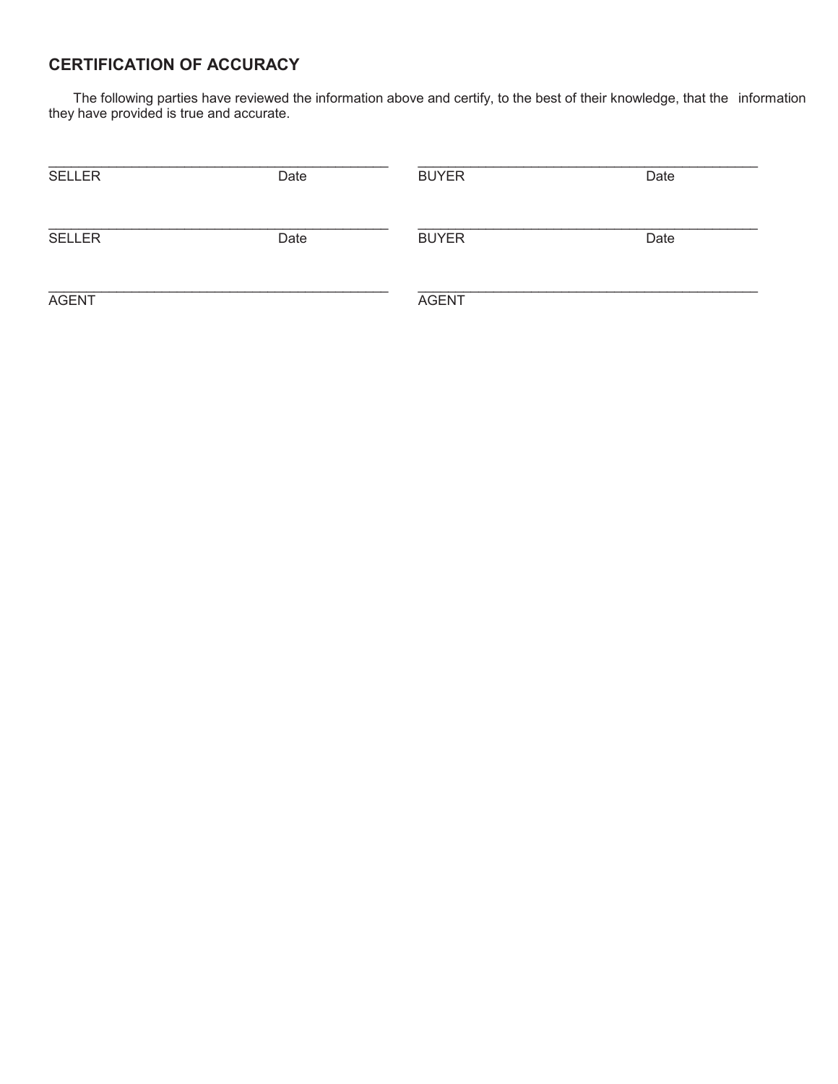# **CERTIFICATION OF ACCURACY**

The following parties have reviewed the information above and certify, to the best of their knowledge, that the information they have provided is true and accurate.

| <b>SELLER</b> | Date | <b>BUYER</b> | Date |
|---------------|------|--------------|------|
| <b>SELLER</b> | Date | <b>BUYER</b> | Date |
| <b>AGENT</b>  |      | <b>AGENT</b> |      |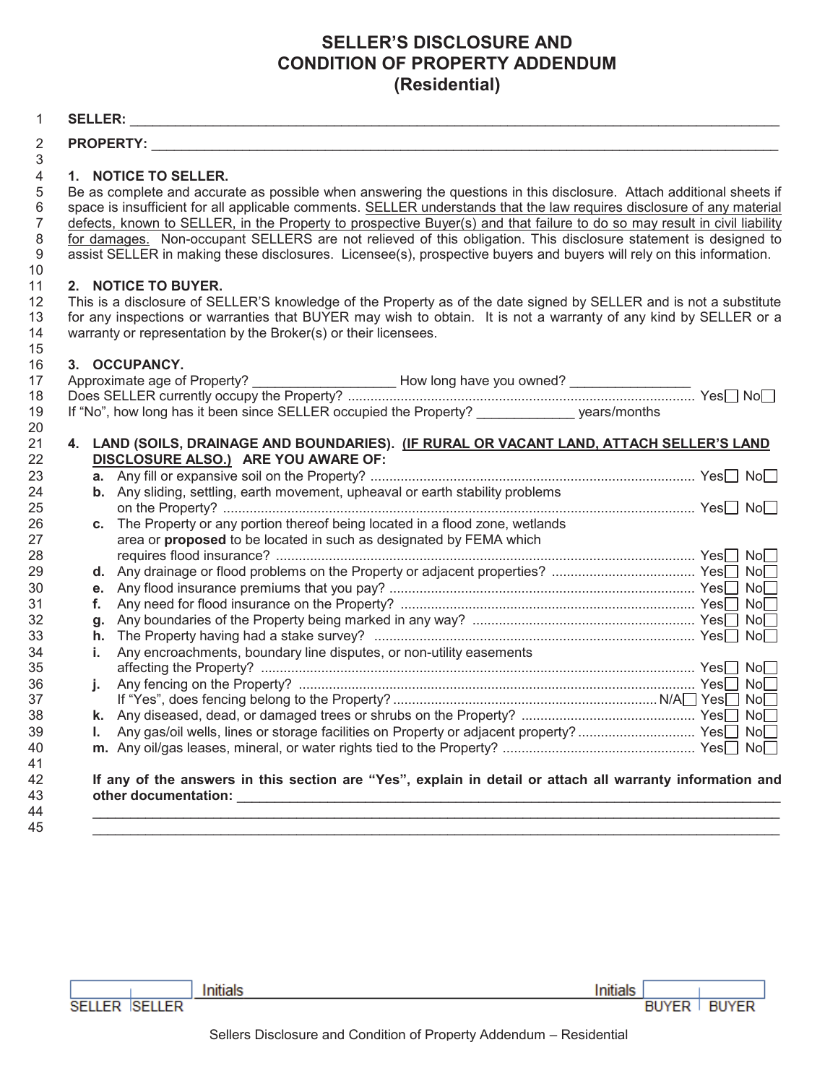# **SELLER'S DISCLOSURE AND CONDITION OF PROPERTY ADDENDUM** (Residential)

#### $\mathbf{1}$

10

15

#### $\overline{2}$ **PROPERTY:** 3

#### $\overline{4}$ 1. NOTICE TO SELLER.

5 Be as complete and accurate as possible when answering the questions in this disclosure. Attach additional sheets if space is insufficient for all applicable comments. SELLER understands that the law requires disclosure of any material 6 defects, known to SELLER, in the Property to prospective Buyer(s) and that failure to do so may result in civil liability  $\overline{7}$ for damages. Non-occupant SELLERS are not relieved of this obligation. This disclosure statement is designed to 8 assist SELLER in making these disclosures. Licensee(s), prospective buyers and buyers will rely on this information. 9

#### $11$ 2. NOTICE TO BUYER.

 $12$ This is a disclosure of SELLER'S knowledge of the Property as of the date signed by SELLER and is not a substitute for any inspections or warranties that BUYER may wish to obtain. It is not a warranty of any kind by SELLER or a 13  $14$ warranty or representation by the Broker(s) or their licensees.

#### 3. OCCUPANCY. 16

| 17 |    |                                                                                                |  |  |
|----|----|------------------------------------------------------------------------------------------------|--|--|
| 18 |    |                                                                                                |  |  |
| 19 |    | If "No", how long has it been since SELLER occupied the Property? _______________ years/months |  |  |
| 20 |    |                                                                                                |  |  |
| 21 | 4. | LAND (SOILS, DRAINAGE AND BOUNDARIES). (IF RURAL OR VACANT LAND, ATTACH SELLER'S LAND          |  |  |
| 22 |    | DISCLOSURE ALSO.) ARE YOU AWARE OF:                                                            |  |  |
| 23 |    |                                                                                                |  |  |
| 24 |    | b. Any sliding, settling, earth movement, upheaval or earth stability problems                 |  |  |
| 25 |    |                                                                                                |  |  |
| 26 | c. | The Property or any portion thereof being located in a flood zone, wetlands                    |  |  |
| 27 |    | area or proposed to be located in such as designated by FEMA which                             |  |  |
| 28 |    |                                                                                                |  |  |
| 29 | d. |                                                                                                |  |  |
| 30 | е. |                                                                                                |  |  |
| 31 | f. |                                                                                                |  |  |
| 32 | g. |                                                                                                |  |  |
| 33 | h. |                                                                                                |  |  |
| 34 | i. | Any encroachments, boundary line disputes, or non-utility easements                            |  |  |
| 35 |    |                                                                                                |  |  |
| 36 | i. |                                                                                                |  |  |
| 37 |    |                                                                                                |  |  |
| 38 | k. |                                                                                                |  |  |
| 39 |    | Any gas/oil wells, lines or storage facilities on Property or adjacent property?  Yes□ No□     |  |  |
| 40 | m. |                                                                                                |  |  |
| 41 |    |                                                                                                |  |  |

# If any of the answers in this section are "Yes", explain in detail or attach all warranty information and

43 44 45

42

**SELLER SELLER** 

Initials and the company of the company of the company of the company of the company of the company of the company of the company of the company of the company of the company of the company of the company of the company of

Initials **BUYER BUYER**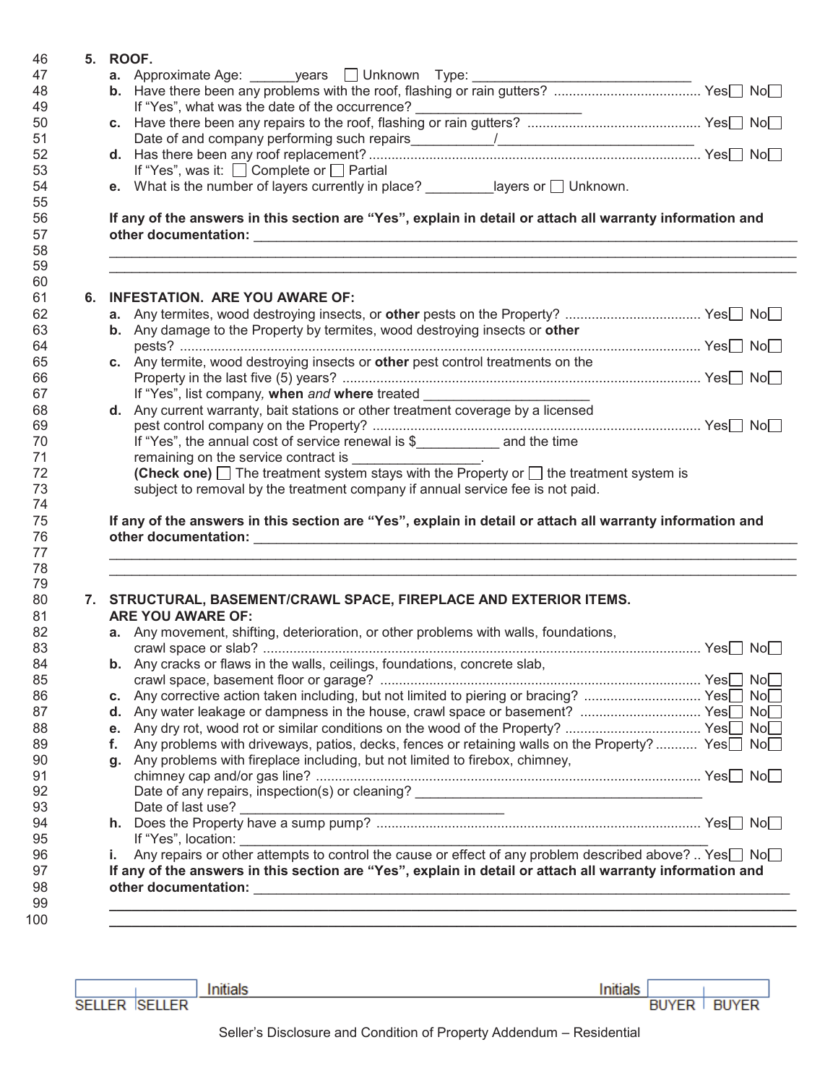| 5. ROOF. |    |                                                                                                                     |  |
|----------|----|---------------------------------------------------------------------------------------------------------------------|--|
|          |    |                                                                                                                     |  |
|          |    |                                                                                                                     |  |
|          |    |                                                                                                                     |  |
|          |    |                                                                                                                     |  |
|          |    |                                                                                                                     |  |
|          |    |                                                                                                                     |  |
|          |    | If "Yes", was it: $\Box$ Complete or $\Box$ Partial                                                                 |  |
|          |    | e. What is the number of layers currently in place? $\frac{1}{\sqrt{2}}$ ________________ layers or $\Box$ Unknown. |  |
|          |    |                                                                                                                     |  |
|          |    | If any of the answers in this section are "Yes", explain in detail or attach all warranty information and           |  |
|          |    |                                                                                                                     |  |
|          |    |                                                                                                                     |  |
|          |    |                                                                                                                     |  |
|          |    |                                                                                                                     |  |
|          |    | 6. INFESTATION. ARE YOU AWARE OF:                                                                                   |  |
|          |    |                                                                                                                     |  |
|          |    | b. Any damage to the Property by termites, wood destroying insects or other                                         |  |
|          |    |                                                                                                                     |  |
|          |    | c. Any termite, wood destroying insects or other pest control treatments on the                                     |  |
|          |    |                                                                                                                     |  |
|          |    | If "Yes", list company, when and where treated                                                                      |  |
|          |    | d. Any current warranty, bait stations or other treatment coverage by a licensed                                    |  |
|          |    |                                                                                                                     |  |
|          |    |                                                                                                                     |  |
|          |    | If "Yes", the annual cost of service renewal is \$____________ and the time                                         |  |
|          |    | remaining on the service contract is __________________.                                                            |  |
|          |    | (Check one) $\Box$ The treatment system stays with the Property or $\Box$ the treatment system is                   |  |
|          |    | subject to removal by the treatment company if annual service fee is not paid.                                      |  |
|          |    |                                                                                                                     |  |
|          |    | If any of the answers in this section are "Yes", explain in detail or attach all warranty information and           |  |
|          |    |                                                                                                                     |  |
|          |    |                                                                                                                     |  |
|          |    |                                                                                                                     |  |
|          |    |                                                                                                                     |  |
|          |    | 7. STRUCTURAL, BASEMENT/CRAWL SPACE, FIREPLACE AND EXTERIOR ITEMS.                                                  |  |
|          |    | <b>ARE YOU AWARE OF:</b>                                                                                            |  |
|          |    | a. Any movement, shifting, deterioration, or other problems with walls, foundations,                                |  |
|          |    |                                                                                                                     |  |
|          |    | b. Any cracks or flaws in the walls, ceilings, foundations, concrete slab,                                          |  |
|          |    |                                                                                                                     |  |
|          |    | c. Any corrective action taken including, but not limited to piering or bracing?  Yes No                            |  |
|          |    |                                                                                                                     |  |
|          |    |                                                                                                                     |  |
|          | f. |                                                                                                                     |  |
|          |    | Any problems with driveways, patios, decks, fences or retaining walls on the Property?  Yes□ No□                    |  |
|          | g. | Any problems with fireplace including, but not limited to firebox, chimney,                                         |  |
|          |    |                                                                                                                     |  |
|          |    |                                                                                                                     |  |
|          |    |                                                                                                                     |  |
|          |    |                                                                                                                     |  |
|          |    | If "Yes", location:                                                                                                 |  |
|          | i. |                                                                                                                     |  |
|          |    | If any of the answers in this section are "Yes", explain in detail or attach all warranty information and           |  |
|          |    |                                                                                                                     |  |

|      |    |      |      | a man o<br><b>Instruction</b> |                |         |
|------|----|------|------|-------------------------------|----------------|---------|
| $ -$ | FD |      |      |                               | $- - -$<br>BU١ | ΈR<br>ы |
|      |    | ____ | ____ |                               |                |         |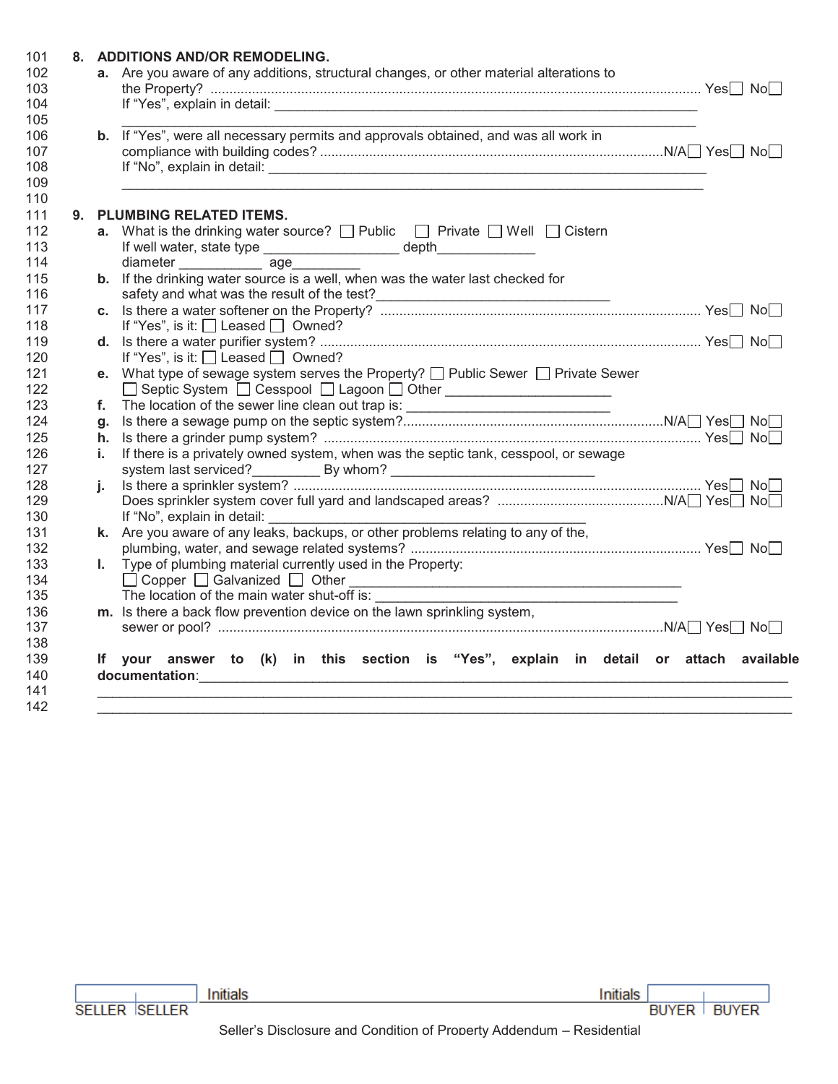|    | 8. ADDITIONS AND/OR REMODELING.<br>a. Are you aware of any additions, structural changes, or other material alterations to                                                                                                     |  |
|----|--------------------------------------------------------------------------------------------------------------------------------------------------------------------------------------------------------------------------------|--|
|    | If "Yes", explain in detail: The same of the same of the same of the same of the same of the same of the same of the same of the same of the same of the same of the same of the same of the same of the same of the same of t |  |
|    |                                                                                                                                                                                                                                |  |
|    | b. If "Yes", were all necessary permits and approvals obtained, and was all work in                                                                                                                                            |  |
|    |                                                                                                                                                                                                                                |  |
|    | 9. PLUMBING RELATED ITEMS.                                                                                                                                                                                                     |  |
|    | <b>a.</b> What is the drinking water source? $\Box$ Public $\Box$ Private $\Box$ Well $\Box$ Cistern                                                                                                                           |  |
|    | If well water, state type _____________________ depth_____________                                                                                                                                                             |  |
|    | diameter ________________ age_________                                                                                                                                                                                         |  |
|    | b. If the drinking water source is a well, when was the water last checked for                                                                                                                                                 |  |
|    |                                                                                                                                                                                                                                |  |
|    |                                                                                                                                                                                                                                |  |
|    | If "Yes", is it: $\Box$ Leased $\Box$ Owned?                                                                                                                                                                                   |  |
|    |                                                                                                                                                                                                                                |  |
|    | If "Yes", is it: $\Box$ Leased $\Box$ Owned?                                                                                                                                                                                   |  |
|    | e. What type of sewage system serves the Property? $\Box$ Public Sewer $\Box$ Private Sewer                                                                                                                                    |  |
|    | □ Septic System □ Cesspool □ Lagoon □ Other _____________________                                                                                                                                                              |  |
|    | f. The location of the sewer line clean out trap is: ___________________________                                                                                                                                               |  |
|    |                                                                                                                                                                                                                                |  |
|    |                                                                                                                                                                                                                                |  |
| i. | If there is a privately owned system, when was the septic tank, cesspool, or sewage                                                                                                                                            |  |
|    |                                                                                                                                                                                                                                |  |
| i. |                                                                                                                                                                                                                                |  |
|    | If "No", explain in detail:                                                                                                                                                                                                    |  |
|    | k. Are you aware of any leaks, backups, or other problems relating to any of the,                                                                                                                                              |  |
|    |                                                                                                                                                                                                                                |  |
|    | I. Type of plumbing material currently used in the Property:                                                                                                                                                                   |  |
|    |                                                                                                                                                                                                                                |  |
|    | Copper Galvanized Other<br>The location of the main water shut-off is:<br><u> 1989 - Jan Barnett, fransk politiker (d. 1989)</u>                                                                                               |  |
|    | m. Is there a back flow prevention device on the lawn sprinkling system,                                                                                                                                                       |  |
|    |                                                                                                                                                                                                                                |  |
|    | If your answer to (k) in this section is "Yes", explain in detail or attach available                                                                                                                                          |  |
|    |                                                                                                                                                                                                                                |  |

|                                |  |  |  | nitio |              |              |
|--------------------------------|--|--|--|-------|--------------|--------------|
| <b>SELLED</b><br><b>SELLER</b> |  |  |  |       | <b>BUYER</b> | <b>BUYER</b> |
|                                |  |  |  |       |              |              |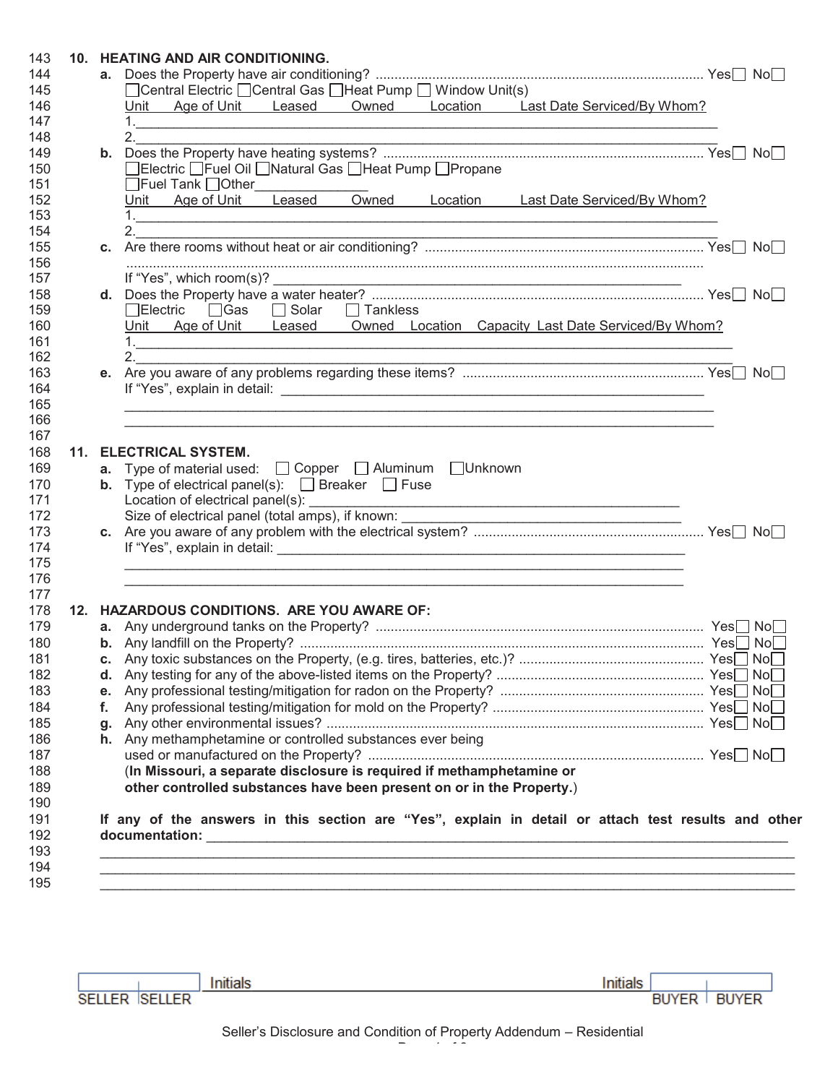|    | □ Central Electric □ Central Gas □ Heat Pump □ Window Unit(s)                                       |  |                                                                                   |  |
|----|-----------------------------------------------------------------------------------------------------|--|-----------------------------------------------------------------------------------|--|
|    |                                                                                                     |  |                                                                                   |  |
|    |                                                                                                     |  |                                                                                   |  |
|    |                                                                                                     |  | Unit Age of Unit Leased Owned Location Last Date Serviced/By Whom?                |  |
|    |                                                                                                     |  |                                                                                   |  |
|    | 2.                                                                                                  |  |                                                                                   |  |
|    |                                                                                                     |  |                                                                                   |  |
|    | □Electric □Fuel Oil □Natural Gas □Heat Pump □Propane                                                |  |                                                                                   |  |
|    |                                                                                                     |  |                                                                                   |  |
|    | □Fuel Tank □Other<br>Unit Age of Unit Leased Owned Location Last Date Serviced/By Whom?             |  |                                                                                   |  |
|    |                                                                                                     |  |                                                                                   |  |
|    |                                                                                                     |  |                                                                                   |  |
|    |                                                                                                     |  |                                                                                   |  |
|    |                                                                                                     |  |                                                                                   |  |
|    |                                                                                                     |  |                                                                                   |  |
|    |                                                                                                     |  |                                                                                   |  |
|    | □Electric □ Gas □ Solar □ Tankless                                                                  |  |                                                                                   |  |
|    |                                                                                                     |  | Unit Age of Unit Leased Owned Location Capacity Last Date Serviced/By Whom?       |  |
|    |                                                                                                     |  |                                                                                   |  |
|    | $\overline{\mathbf{a}}$                                                                             |  |                                                                                   |  |
|    |                                                                                                     |  |                                                                                   |  |
|    |                                                                                                     |  |                                                                                   |  |
|    |                                                                                                     |  | ,我们也不能在这里的人,我们也不能在这里的人,我们也不能在这里的人,我们也不能在这里的人,我们也不能在这里的人,我们也不能在这里的人,我们也不能在这里的人,我们也 |  |
|    |                                                                                                     |  |                                                                                   |  |
|    |                                                                                                     |  |                                                                                   |  |
|    | 11. ELECTRICAL SYSTEM.                                                                              |  |                                                                                   |  |
|    | a. Type of material used:<br>$\Box$ Copper $\Box$ Aluminum $\Box$ Unknown                           |  |                                                                                   |  |
|    | <b>b.</b> Type of electrical panel(s): $\Box$ Breaker $\Box$ Fuse                                   |  |                                                                                   |  |
|    |                                                                                                     |  |                                                                                   |  |
|    | Size of electrical panel (total amps), if known: ________________________________                   |  |                                                                                   |  |
|    |                                                                                                     |  |                                                                                   |  |
|    |                                                                                                     |  |                                                                                   |  |
|    |                                                                                                     |  |                                                                                   |  |
|    |                                                                                                     |  |                                                                                   |  |
|    |                                                                                                     |  |                                                                                   |  |
|    | 12. HAZARDOUS CONDITIONS. ARE YOU AWARE OF:                                                         |  |                                                                                   |  |
|    |                                                                                                     |  |                                                                                   |  |
|    |                                                                                                     |  |                                                                                   |  |
|    |                                                                                                     |  |                                                                                   |  |
|    |                                                                                                     |  |                                                                                   |  |
| е. |                                                                                                     |  |                                                                                   |  |
| f. |                                                                                                     |  |                                                                                   |  |
|    |                                                                                                     |  |                                                                                   |  |
|    | h. Any methamphetamine or controlled substances ever being                                          |  |                                                                                   |  |
|    |                                                                                                     |  |                                                                                   |  |
|    | (In Missouri, a separate disclosure is required if methamphetamine or                               |  |                                                                                   |  |
|    | other controlled substances have been present on or in the Property.)                               |  |                                                                                   |  |
|    |                                                                                                     |  |                                                                                   |  |
|    | If any of the answers in this section are "Yes", explain in detail or attach test results and other |  |                                                                                   |  |
|    |                                                                                                     |  |                                                                                   |  |
|    |                                                                                                     |  |                                                                                   |  |
|    |                                                                                                     |  |                                                                                   |  |
|    |                                                                                                     |  |                                                                                   |  |
|    |                                                                                                     |  |                                                                                   |  |
|    |                                                                                                     |  |                                                                                   |  |
|    |                                                                                                     |  |                                                                                   |  |
|    |                                                                                                     |  |                                                                                   |  |
|    |                                                                                                     |  |                                                                                   |  |
|    |                                                                                                     |  |                                                                                   |  |
|    | Initials                                                                                            |  | Initials                                                                          |  |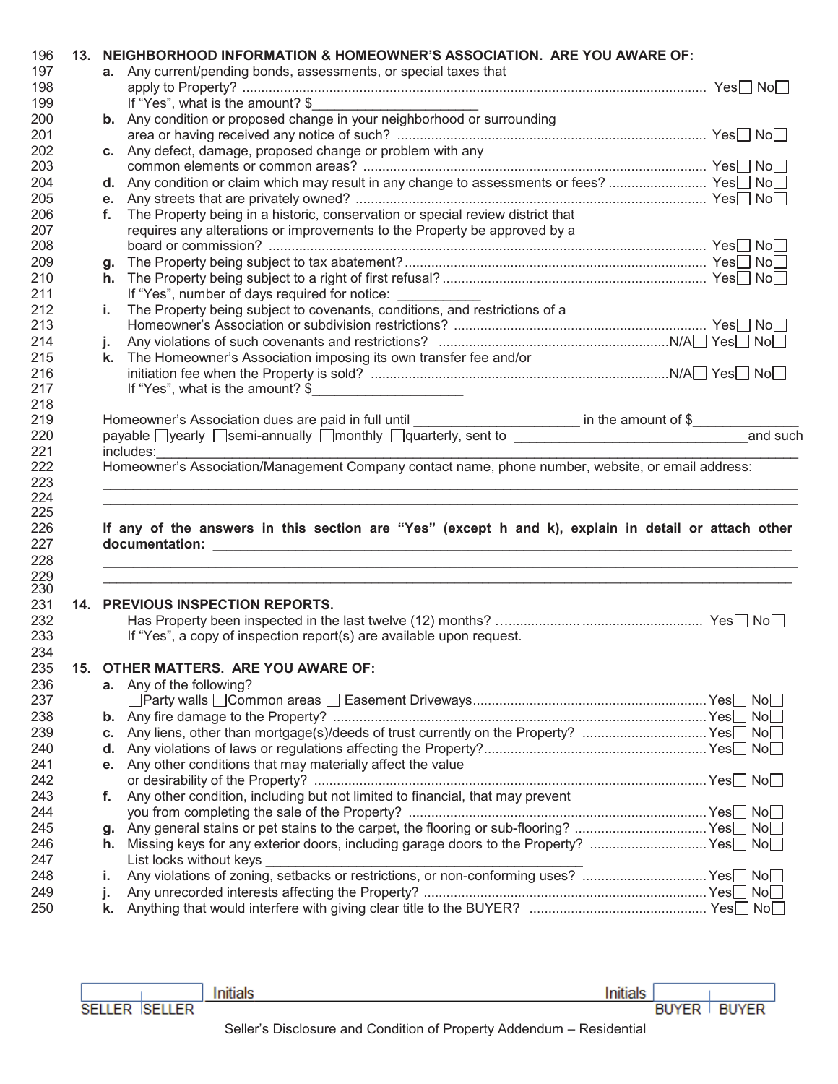|     |     | 13. NEIGHBORHOOD INFORMATION & HOMEOWNER'S ASSOCIATION. ARE YOU AWARE OF:                                          |     |
|-----|-----|--------------------------------------------------------------------------------------------------------------------|-----|
| 197 |     | <b>a.</b> Any current/pending bonds, assessments, or special taxes that                                            |     |
| 198 |     |                                                                                                                    |     |
| 199 |     | If "Yes", what is the amount? \$                                                                                   |     |
| 200 |     | b. Any condition or proposed change in your neighborhood or surrounding                                            |     |
| 201 |     |                                                                                                                    |     |
| 202 |     | c. Any defect, damage, proposed change or problem with any                                                         |     |
| 203 |     |                                                                                                                    |     |
| 204 |     | d. Any condition or claim which may result in any change to assessments or fees?  Yes <sup>1</sup> No <sup>1</sup> |     |
| 205 |     |                                                                                                                    |     |
|     |     |                                                                                                                    |     |
| 206 |     | f. The Property being in a historic, conservation or special review district that                                  |     |
| 207 |     | requires any alterations or improvements to the Property be approved by a                                          |     |
| 208 |     |                                                                                                                    |     |
| 209 |     |                                                                                                                    |     |
| 210 |     |                                                                                                                    |     |
| 211 |     | If "Yes", number of days required for notice: ____________                                                         |     |
| 212 | i., | The Property being subject to covenants, conditions, and restrictions of a                                         |     |
| 213 |     |                                                                                                                    |     |
| 214 | j.  |                                                                                                                    |     |
| 215 |     | k. The Homeowner's Association imposing its own transfer fee and/or                                                |     |
| 216 |     |                                                                                                                    |     |
| 217 |     | If "Yes", what is the amount? $\frac{1}{2}$                                                                        |     |
| 218 |     |                                                                                                                    |     |
| 219 |     |                                                                                                                    |     |
| 220 |     | payable Uyearly Usemi-annually Umonthly Uquarterly, sent to University Assembly Device of the University Present   |     |
| 221 |     | includes:                                                                                                          |     |
|     |     | Homeowner's Association/Management Company contact name, phone number, website, or email address:                  |     |
| 222 |     |                                                                                                                    |     |
| 223 |     |                                                                                                                    |     |
| 224 |     |                                                                                                                    |     |
| 225 |     |                                                                                                                    |     |
| 226 |     |                                                                                                                    |     |
|     |     | If any of the answers in this section are "Yes" (except h and k), explain in detail or attach other                |     |
| 227 |     |                                                                                                                    |     |
| 228 |     |                                                                                                                    |     |
| 229 |     |                                                                                                                    |     |
| 230 |     |                                                                                                                    |     |
| 231 |     | 14. PREVIOUS INSPECTION REPORTS.                                                                                   |     |
| 232 |     |                                                                                                                    |     |
| 233 |     | If "Yes", a copy of inspection report(s) are available upon request.                                               |     |
|     |     |                                                                                                                    |     |
| 234 |     |                                                                                                                    |     |
| 235 |     | 15. OTHER MATTERS. ARE YOU AWARE OF:                                                                               |     |
| 236 |     | a. Any of the following?                                                                                           |     |
| 237 |     |                                                                                                                    |     |
| 238 |     |                                                                                                                    | Nol |
| 239 |     | c. Any liens, other than mortgage(s)/deeds of trust currently on the Property?  Yes No                             |     |
| 240 |     |                                                                                                                    |     |
| 241 |     | e. Any other conditions that may materially affect the value                                                       |     |
| 242 |     |                                                                                                                    |     |
|     | f.  |                                                                                                                    |     |
| 243 |     | Any other condition, including but not limited to financial, that may prevent                                      |     |
| 244 |     |                                                                                                                    |     |
| 245 | g.  |                                                                                                                    |     |
| 246 | h.  | Missing keys for any exterior doors, including garage doors to the Property? Yes□ No□                              |     |
| 247 |     | List locks without keys                                                                                            |     |
| 248 | i.  |                                                                                                                    |     |
| 249 | j.  |                                                                                                                    |     |
| 250 | k.  |                                                                                                                    |     |

| Initials |               |  |
|----------|---------------|--|
|          | BUYER   BUYER |  |
|          |               |  |

Initials

SELLER SELLER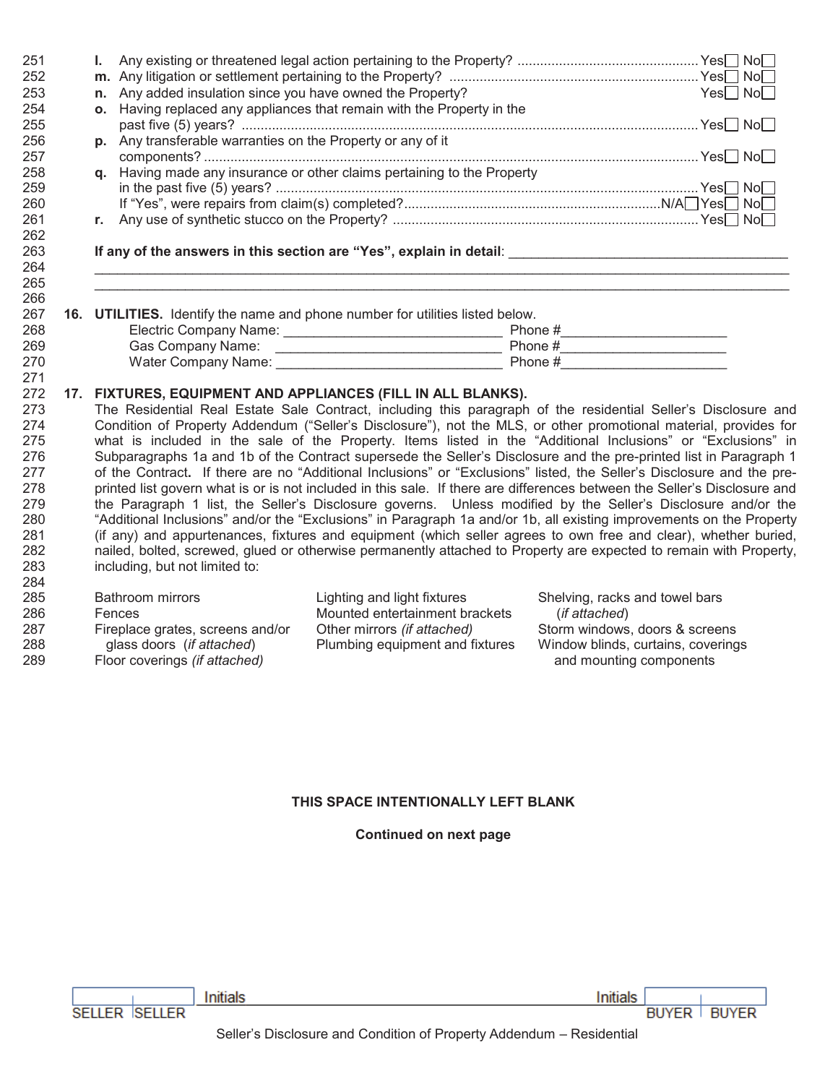| 251 | Ι. |                                                             |                                                                                                                           |               |                                    |
|-----|----|-------------------------------------------------------------|---------------------------------------------------------------------------------------------------------------------------|---------------|------------------------------------|
| 252 |    |                                                             |                                                                                                                           |               |                                    |
| 253 |    | n. Any added insulation since you have owned the Property?  |                                                                                                                           |               | $Yes \Box No \Box$                 |
| 254 |    |                                                             | o. Having replaced any appliances that remain with the Property in the                                                    |               |                                    |
| 255 |    |                                                             |                                                                                                                           |               |                                    |
| 256 |    | p. Any transferable warranties on the Property or any of it |                                                                                                                           |               |                                    |
| 257 |    |                                                             |                                                                                                                           |               |                                    |
| 258 |    |                                                             | q. Having made any insurance or other claims pertaining to the Property                                                   |               |                                    |
| 259 |    |                                                             |                                                                                                                           |               |                                    |
| 260 |    |                                                             |                                                                                                                           |               |                                    |
| 261 |    |                                                             |                                                                                                                           |               |                                    |
| 262 |    |                                                             |                                                                                                                           |               |                                    |
| 263 |    |                                                             |                                                                                                                           |               |                                    |
| 264 |    |                                                             |                                                                                                                           |               |                                    |
| 265 |    |                                                             |                                                                                                                           |               |                                    |
| 266 |    |                                                             |                                                                                                                           |               |                                    |
| 267 |    |                                                             | 16. UTILITIES. Identify the name and phone number for utilities listed below.                                             |               |                                    |
| 268 |    |                                                             |                                                                                                                           |               |                                    |
| 269 |    |                                                             |                                                                                                                           |               |                                    |
| 270 |    |                                                             |                                                                                                                           |               |                                    |
| 271 |    |                                                             |                                                                                                                           |               |                                    |
| 272 |    |                                                             | 17. FIXTURES, EQUIPMENT AND APPLIANCES (FILL IN ALL BLANKS).                                                              |               |                                    |
| 273 |    |                                                             | The Residential Real Estate Sale Contract, including this paragraph of the residential Seller's Disclosure and            |               |                                    |
| 274 |    |                                                             | Condition of Property Addendum ("Seller's Disclosure"), not the MLS, or other promotional material, provides for          |               |                                    |
| 275 |    |                                                             | what is included in the sale of the Property. Items listed in the "Additional Inclusions" or "Exclusions" in              |               |                                    |
| 276 |    |                                                             | Subparagraphs 1a and 1b of the Contract supersede the Seller's Disclosure and the pre-printed list in Paragraph 1         |               |                                    |
| 277 |    |                                                             | of the Contract. If there are no "Additional Inclusions" or "Exclusions" listed, the Seller's Disclosure and the pre-     |               |                                    |
| 278 |    |                                                             | printed list govern what is or is not included in this sale. If there are differences between the Seller's Disclosure and |               |                                    |
| 279 |    |                                                             | the Paragraph 1 list, the Seller's Disclosure governs. Unless modified by the Seller's Disclosure and/or the              |               |                                    |
| 280 |    |                                                             | "Additional Inclusions" and/or the "Exclusions" in Paragraph 1a and/or 1b, all existing improvements on the Property      |               |                                    |
| 281 |    |                                                             | (if any) and appurtenances, fixtures and equipment (which seller agrees to own free and clear), whether buried,           |               |                                    |
| 282 |    |                                                             | nailed, bolted, screwed, glued or otherwise permanently attached to Property are expected to remain with Property,        |               |                                    |
| 283 |    | including, but not limited to:                              |                                                                                                                           |               |                                    |
| 284 |    |                                                             |                                                                                                                           |               |                                    |
| 285 |    | <b>Bathroom mirrors</b>                                     | Lighting and light fixtures                                                                                               |               | Shelving, racks and towel bars     |
| 286 |    | Fences                                                      | Mounted entertainment brackets                                                                                            | (if attached) |                                    |
| 287 |    | Fireplace grates, screens and/or                            | Other mirrors (if attached)                                                                                               |               | Storm windows, doors & screens     |
| 288 |    | glass doors (if attached)                                   | Plumbing equipment and fixtures                                                                                           |               | Window blinds, curtains, coverings |
| 289 |    | Floor coverings (if attached)                               |                                                                                                                           |               | and mounting components            |

# THIS SPACE INTENTIONALLY LEFT BLANK

# **Continued on next page**

| SELLER ISELLER |  |
|----------------|--|

| Initials

Initials

**BUYER BUYER**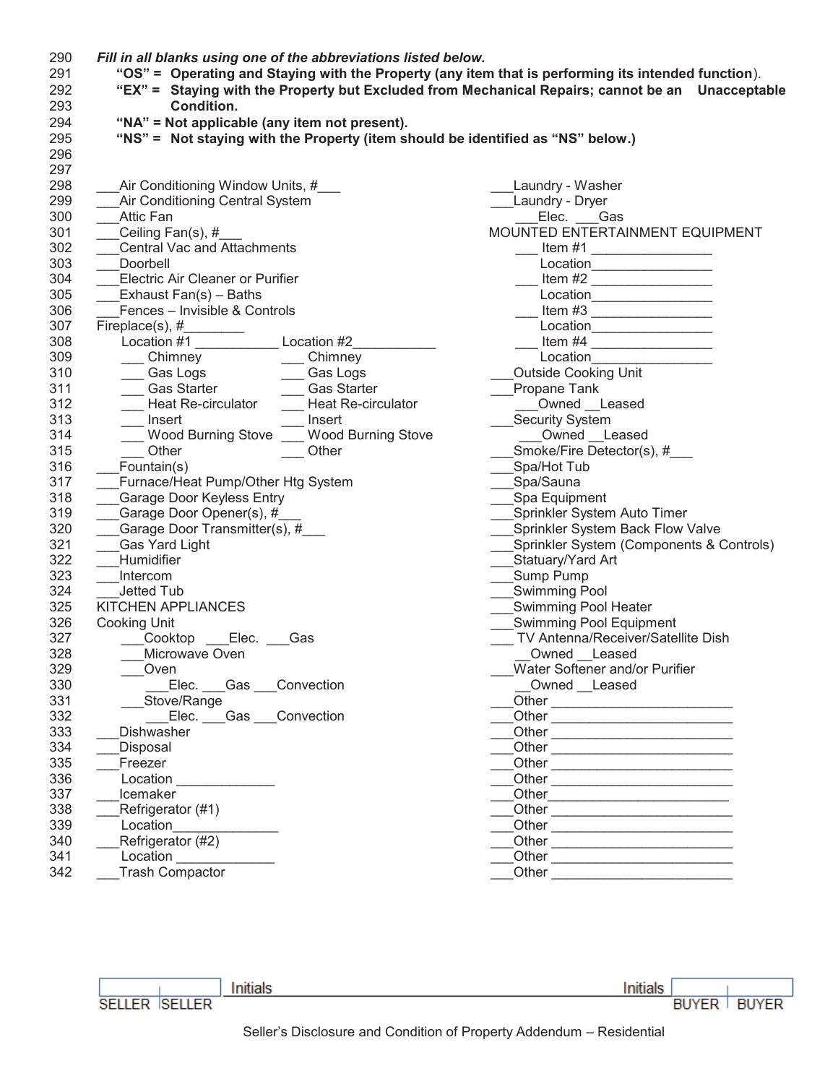| 290 | Fill in all blanks using one of the abbreviations listed below.                                                 |                                                                                                                                                                                                                                      |  |  |  |  |  |
|-----|-----------------------------------------------------------------------------------------------------------------|--------------------------------------------------------------------------------------------------------------------------------------------------------------------------------------------------------------------------------------|--|--|--|--|--|
| 291 | "OS" = Operating and Staying with the Property (any item that is performing its intended function).             |                                                                                                                                                                                                                                      |  |  |  |  |  |
| 292 | "EX" = Staying with the Property but Excluded from Mechanical Repairs; cannot be an Unacceptable                |                                                                                                                                                                                                                                      |  |  |  |  |  |
| 293 | Condition.                                                                                                      |                                                                                                                                                                                                                                      |  |  |  |  |  |
| 294 | "NA" = Not applicable (any item not present).                                                                   |                                                                                                                                                                                                                                      |  |  |  |  |  |
| 295 | "NS" = Not staying with the Property (item should be identified as "NS" below.)                                 |                                                                                                                                                                                                                                      |  |  |  |  |  |
| 296 |                                                                                                                 |                                                                                                                                                                                                                                      |  |  |  |  |  |
| 297 |                                                                                                                 |                                                                                                                                                                                                                                      |  |  |  |  |  |
| 298 | Air Conditioning Window Units, #                                                                                | Laundry - Washer                                                                                                                                                                                                                     |  |  |  |  |  |
| 299 | Air Conditioning Central System                                                                                 | ___Laundry - Dryer                                                                                                                                                                                                                   |  |  |  |  |  |
| 300 | <b>Attic Fan</b>                                                                                                | Elec. Gas                                                                                                                                                                                                                            |  |  |  |  |  |
| 301 | Ceiling Fan(s), #                                                                                               | MOUNTED ENTERTAINMENT EQUIPMENT                                                                                                                                                                                                      |  |  |  |  |  |
| 302 | <b>Central Vac and Attachments</b>                                                                              |                                                                                                                                                                                                                                      |  |  |  |  |  |
| 303 | Doorbell                                                                                                        |                                                                                                                                                                                                                                      |  |  |  |  |  |
| 304 | Electric Air Cleaner or Purifier                                                                                | Location__________________                                                                                                                                                                                                           |  |  |  |  |  |
|     |                                                                                                                 | Item #2                                                                                                                                                                                                                              |  |  |  |  |  |
| 305 | Exhaust Fan(s) - Baths                                                                                          | Location__________________                                                                                                                                                                                                           |  |  |  |  |  |
| 306 | Fences - Invisible & Controls                                                                                   | Item #3                                                                                                                                                                                                                              |  |  |  |  |  |
| 307 |                                                                                                                 | Location__________________                                                                                                                                                                                                           |  |  |  |  |  |
| 308 | Location #1<br>Location #2                                                                                      |                                                                                                                                                                                                                                      |  |  |  |  |  |
| 309 | ____ Chimney<br>$\sqrt{\frac{1}{2}}$ Chimney                                                                    | Location <b>Contract Contract Contract Contract Contract Contract Contract Contract Contract Contract Contract Contract Contract Contract Contract Contract Contract Contract Contract Contract Contract Contract Contract Contr</b> |  |  |  |  |  |
| 310 | ____ Gas Logs _______ Gas Logs<br>____ Gas Starter _______ Gas Starte<br>____ Gas Starter __________ Gas Starte | <b>Outside Cooking Unit</b>                                                                                                                                                                                                          |  |  |  |  |  |
| 311 | __ Gas Starter                                                                                                  | Propane Tank                                                                                                                                                                                                                         |  |  |  |  |  |
| 312 | <b>Heat Re-circulator</b><br>Heat Re-circulator                                                                 | Owned Leased                                                                                                                                                                                                                         |  |  |  |  |  |
| 313 | Insert<br>Insert                                                                                                | Security System                                                                                                                                                                                                                      |  |  |  |  |  |
| 314 | Wood Burning Stove ___ Wood Burning Stove                                                                       | Owned Leased                                                                                                                                                                                                                         |  |  |  |  |  |
| 315 | Other<br>Other                                                                                                  | Smoke/Fire Detector(s), #                                                                                                                                                                                                            |  |  |  |  |  |
| 316 | Fountain(s)                                                                                                     | Spa/Hot Tub                                                                                                                                                                                                                          |  |  |  |  |  |
| 317 | Furnace/Heat Pump/Other Htg System                                                                              | Spa/Sauna                                                                                                                                                                                                                            |  |  |  |  |  |
| 318 | Garage Door Keyless Entry                                                                                       | Spa Equipment                                                                                                                                                                                                                        |  |  |  |  |  |
| 319 | Garage Door Opener(s), #                                                                                        | __Sprinkler System Auto Timer                                                                                                                                                                                                        |  |  |  |  |  |
| 320 | Garage Door Transmitter(s), #                                                                                   | Sprinkler System Back Flow Valve                                                                                                                                                                                                     |  |  |  |  |  |
| 321 | <b>Gas Yard Light</b>                                                                                           | Sprinkler System (Components & Controls)                                                                                                                                                                                             |  |  |  |  |  |
| 322 | Humidifier                                                                                                      | Statuary/Yard Art                                                                                                                                                                                                                    |  |  |  |  |  |
| 323 | Intercom                                                                                                        | Sump Pump                                                                                                                                                                                                                            |  |  |  |  |  |
| 324 | Jetted Tub                                                                                                      | <b>Swimming Pool</b>                                                                                                                                                                                                                 |  |  |  |  |  |
| 325 | KITCHEN APPLIANCES                                                                                              | Swimming Pool Heater                                                                                                                                                                                                                 |  |  |  |  |  |
| 326 | Cooking Unit                                                                                                    | Swimming Pool Equipment                                                                                                                                                                                                              |  |  |  |  |  |
| 327 | ___Cooktop ___Elec. ___Gas                                                                                      | TV Antenna/Receiver/Satellite Dish                                                                                                                                                                                                   |  |  |  |  |  |
| 328 | Microwave Oven                                                                                                  | Owned Leased                                                                                                                                                                                                                         |  |  |  |  |  |
| 329 | Oven                                                                                                            | Water Softener and/or Purifier                                                                                                                                                                                                       |  |  |  |  |  |
| 330 | Elec. Gas Convection                                                                                            | Owned __Leased                                                                                                                                                                                                                       |  |  |  |  |  |
| 331 | Stove/Range                                                                                                     |                                                                                                                                                                                                                                      |  |  |  |  |  |
| 332 | Elec. Gas Convection                                                                                            |                                                                                                                                                                                                                                      |  |  |  |  |  |
| 333 | Dishwasher                                                                                                      | Other                                                                                                                                                                                                                                |  |  |  |  |  |
| 334 | Disposal                                                                                                        |                                                                                                                                                                                                                                      |  |  |  |  |  |
| 335 | Freezer                                                                                                         |                                                                                                                                                                                                                                      |  |  |  |  |  |
| 336 | Location                                                                                                        | Other                                                                                                                                                                                                                                |  |  |  |  |  |
| 337 | Icemaker                                                                                                        |                                                                                                                                                                                                                                      |  |  |  |  |  |
| 338 | Refrigerator (#1)                                                                                               | Other                                                                                                                                                                                                                                |  |  |  |  |  |
| 339 | Location                                                                                                        | Other                                                                                                                                                                                                                                |  |  |  |  |  |
| 340 | Refrigerator (#2)                                                                                               | Other                                                                                                                                                                                                                                |  |  |  |  |  |
| 341 | Location                                                                                                        |                                                                                                                                                                                                                                      |  |  |  |  |  |
| 342 | <b>Trash Compactor</b>                                                                                          |                                                                                                                                                                                                                                      |  |  |  |  |  |